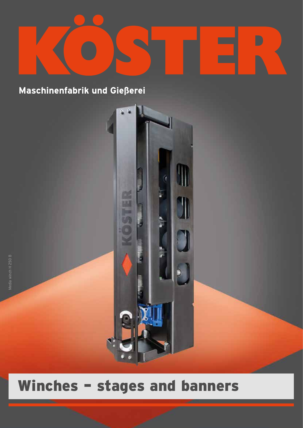

P.

**SWANNING** 

**Barbara** 

ś,

Maschinenfabrik und Gießerei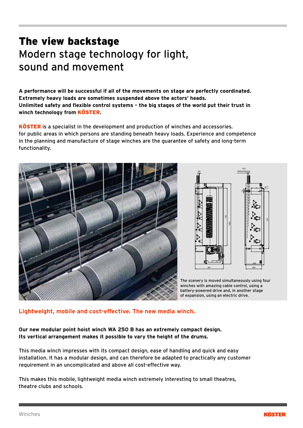## The view backstage Modern stage technology for light, sound and movement

A performance will be successful if all of the movements on stage are perfectly coordinated. Extremely heavy loads are sometimes suspended above the actors' heads<mark>.</mark> **Unlimited safety and flexible control systems – the big stages of the world put their trust in winch technology from** KÖSTER**.**

**KÖSTER** is a specialist in the development and production of winches and accessories. for public areas in which persons are standing beneath heavy loads. Experience and competence in the planning and manufacture of stage winches are the guarantee of safety and long-term functionality.





The scenery is moved simultaneously using four winches with amazing cable control, using a battery-powered drive and, in another stage of expansion, using an electric drive.

## **Lightweight, mobile and cost-effective. The new media winch.** 6 7 8

**Our new modular point hoist winch WA 250 B has an extremely compact design. Its vertical arrangement makes it possible to vary the height of the drums.** 

This media winch impresses with its compact design, ease of handling and quick and easy installation. It has a modular design, and can therefore be adapted to practically any customer requirement in an uncomplicated and above all cost-effective way.

This makes this mobile, lightweight media winch extremely interesting to small theatres, theatre clubs and schools.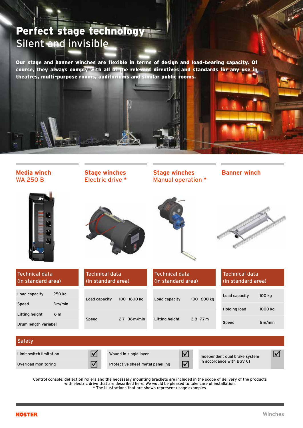## Perfect stage technology Silent and invisible

Our stage and banner winches are flexible in terms of design and load-bearing capacity. Of course, they always comply with all of the relevant directives and standards for any use in theatres, multi-purpose rooms, auditoriums and similar public rooms.



Control console, deflection rollers and the necessary mounting brackets are included in the scope of delivery of the products with electric drive that are described here. We would be pleased to take care of installation. \* The illustrations that are shown represent usage examples.